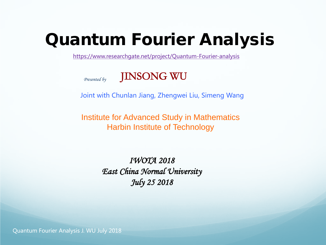# Quantum Fourier Analysis

<https://www.researchgate.net/project/Quantum-Fourier-analysis>



Joint with Chunlan Jiang, Zhengwei Liu, Simeng Wang

Institute for Advanced Study in Mathematics Harbin Institute of Technology

> IWOTA 2018 East China Normal University July 25 2018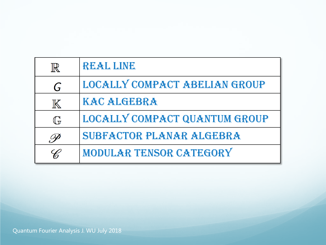| $\mathbb{R}$      | REAL LINE                     |
|-------------------|-------------------------------|
| G                 | LOCALLY COMPACT ABELIAN GROUP |
| $\mathbb K$       | <b>KAC ALGEBRA</b>            |
| $\mathbb{G}$      | LOCALLY COMPACT QUANTUM GROUP |
| $O\!\!\!\!\!\rho$ | SUBFACTOR PLANAR ALGEBRA      |
| C                 | MODULAR TENSOR CATEGORY       |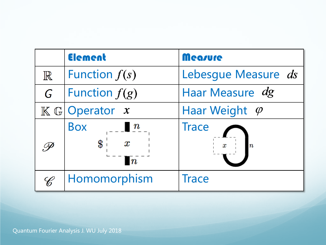|             | Element                                                               | Measure                          |
|-------------|-----------------------------------------------------------------------|----------------------------------|
| $\mathbb R$ | Function $f(s)$                                                       | Lebesque Measure ds              |
| G           | Function $f(g)$                                                       | Haar Measure dg                  |
|             | $K \mathbb{G}$ Operator $x$                                           | Haar Weight $\varphi$            |
|             | <b>Box</b><br>$\boldsymbol{n}$<br>\$<br>$\pmb{x}$<br>$\boldsymbol{n}$ | <b>Trace</b><br>$\boldsymbol{n}$ |
| C           | Homomorphism                                                          | <b>Trace</b>                     |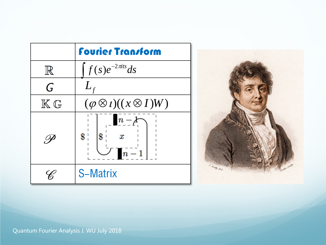|                         | <b>Fourier Transform</b>                                      |
|-------------------------|---------------------------------------------------------------|
| $\mathbb{R}$            | $f(s)e^{-2\pi i s}ds$                                         |
| G                       | $L_f$                                                         |
| $\mathbb{K} \mathbb{G}$ | $(\varphi \otimes i)((x \otimes I)W)$                         |
| Ug                      | $\vert n-\!\!\!{\lambda}$<br>\$<br>$\$\,$<br>$\boldsymbol{x}$ |
|                         | <b>S-Matrix</b>                                               |

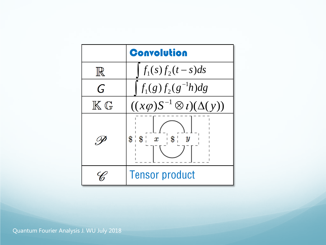|                         | <b>Convolution</b>                       |  |
|-------------------------|------------------------------------------|--|
| $\mathbb{R}$            | $f_1(s) f_2(t-s) ds$                     |  |
| G                       | $f_1(g)f_2(g^{-1}h)dg$                   |  |
| $\mathbb{K} \mathbb{G}$ | $((x\varphi)S^{-1}\otimes i)(\Delta(y))$ |  |
|                         | $\$\mathbf{ } \ x$<br>\$<br>\$           |  |
|                         | <b>Tensor product</b>                    |  |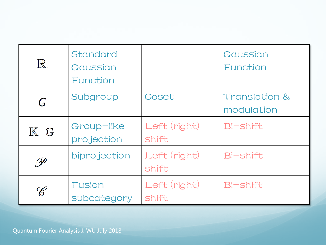| $\mathbb R$    | Standard<br>Gaussian<br>Function |                              | Gaussian<br>Function                   |
|----------------|----------------------------------|------------------------------|----------------------------------------|
| G              | Subgroup                         | Coset                        | <b>Translation &amp;</b><br>modulation |
| $\mathbb{K}$ G | Group-like<br>projection         | Left (right)<br><b>Shift</b> | Bi-shift                               |
| .P             | biprojection                     | Left (right)<br><b>Shift</b> | <b>Bi-shift</b>                        |
| C              | Fusion<br>subcategory            | Left (right)<br>shift        | Bi-shift                               |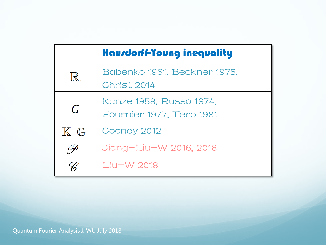|                             | <b>Hausdorff-Young inequality</b>                   |  |
|-----------------------------|-----------------------------------------------------|--|
| $\mathbb{R}$                | Babenko 1961, Beckner 1975,<br>Christ 2014          |  |
| G                           | Kunze 1958, Russo 1974,<br>Fournier 1977, Terp 1981 |  |
| $\mathbb{K}$ G              | Cooney 2012                                         |  |
| $\mathscr{O}_{\mathcal{F}}$ | Jiang-Liu-W 2016, 2018                              |  |
|                             | Liu-W 2018                                          |  |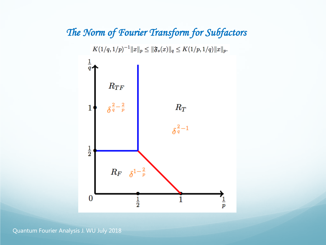#### The Norm of Fourier Transform for Subfactors



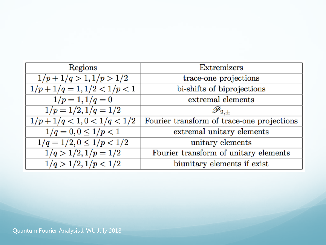| Regions                              | Extremizers                                |
|--------------------------------------|--------------------------------------------|
| $1/p+1/q>1, 1/p>1/2$                 | trace-one projections                      |
| $1/p+1/q=1, 1/2<1/p<1$               | bi-shifts of biprojections                 |
| $1/p = 1, 1/q = 0$                   | extremal elements                          |
| $1/p = 1/2, 1/q = 1/2$               | $\mathscr{P}_{2,\pm}$                      |
| $1/p+1/q < 1, 0 < 1/q < 1/2$         | Fourier transform of trace-one projections |
| $\overline{1/q} = 0, 0 \leq 1/p < 1$ | extremal unitary elements                  |
| $1/q = 1/2, 0 \leq 1/p < 1/2$        | unitary elements                           |
| $1/q > 1/2, 1/p = 1/2$               | Fourier transform of unitary elements      |
| 1/q > 1/2, 1/p < 1/2                 | biunitary elements if exist                |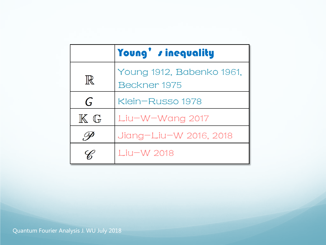|                | Young' sinequality                        |  |
|----------------|-------------------------------------------|--|
| $\mathbb{R}$   | Young 1912, Babenko 1961,<br>Beckner 1975 |  |
| $\mathsf{G}$   | Klein-Russo 1978                          |  |
| $\mathbb{K}$ G | Liu-W-Wang 2017                           |  |
| ŎΦ             | Jiang-Liu-W 2016, 2018                    |  |
|                | Liu-W 2018                                |  |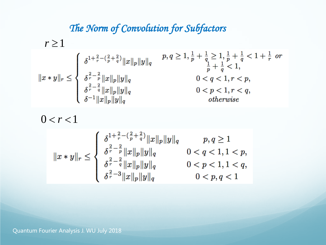## The Norm of Convolution for Subfactors

$$
r \ge 1
$$
\n
$$
||x * y||_r \le \begin{cases} \n\delta^{1 + \frac{2}{r} - (\frac{2}{p} + \frac{2}{q})} ||x||_p ||y||_q & p, q \ge 1, \frac{1}{p} + \frac{1}{q} \ge 1, \frac{1}{p} + \frac{1}{q} < 1 + \frac{1}{r} \text{ or } \\ \n\delta^{\frac{2}{r} - \frac{2}{p}} ||x||_p ||y||_q & 0 < q < 1, r < p, \\ \n\delta^{\frac{2}{r} - \frac{2}{q}} ||x||_p ||y||_q & 0 < p < 1, r < q, \\ \n\delta^{-1} ||x||_p ||y||_q & 0 < p < 1, r < q, \\ \n\delta^{-1} ||x||_p ||y||_q & \text{otherwise} \n\end{cases}
$$

 $0 < r < 1$ 

$$
||x*y||_r\leq\left\{\begin{array}{ll}\delta^{\frac{1+\frac{2}{r}-(\frac{2}{p}+\frac{2}{q})}\|x\|_p\|y\|_q & p,q\geq 1\\\delta^{\frac{2}{r}-\frac{2}{p}}\|x\|_p\|y\|_q & 0
$$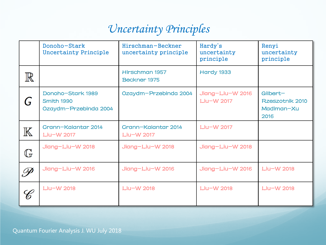# Uncertainty Principles

|               | Donoho-Stark<br><b>Uncertainty Principle</b>             | Hirschman-Beckner<br>uncertainty principle | Hardy's<br>uncertainty<br>principle | Renyi<br>uncertainty<br>principle                 |
|---------------|----------------------------------------------------------|--------------------------------------------|-------------------------------------|---------------------------------------------------|
| $\mathbb R$   |                                                          | Hirschman 1957<br><b>Beckner 1975</b>      | <b>Hardy 1933</b>                   |                                                   |
|               | Donoho-Stark 1989<br>Smith 1990<br>Ozaydm-Przebinda 2004 | Ozaydm-Przebinda 2004                      | Jiang-Liu-W 2016<br>Liu-W 2017      | Gilbert-<br>Rzeszotnik 2010<br>Madiman-Xu<br>2016 |
| $\mathbb K$   | Crann-Kalantar 2014<br>Liu-W 2017                        | Crann-Kalantar 2014<br>Liu-W 2017          | Liu-W 2017                          |                                                   |
| $\mathbb{G}$  | Jiang-Liu-W 2018                                         | Jiang-Liu-W 2018                           | Jiang-Liu-W 2018                    |                                                   |
| $\mathscr{P}$ | Jiang-Liu-W 2016                                         | Jiang-Liu-W 2016                           | Jiang-Liu-W 2016                    | Liu-W 2018                                        |
| C             | Liu-W 2018                                               | Liu-W 2018                                 | Liu-W 2018                          | Liu-W 2018                                        |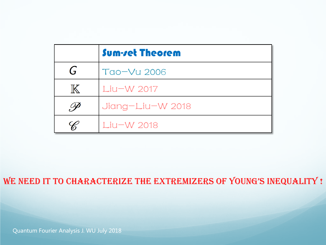|              | <b>Sum-ret Theorem</b> |
|--------------|------------------------|
| G            | Tao-Vu 2006            |
| $\mathbb{K}$ | Liu-W 2017             |
|              | Jiang-Liu-W 2018       |
|              | Liu-W 2018             |

WE NEED IT TO CHARACTERIZE THE EXTREMIZERS OF YOUNG'S INEQUALITY !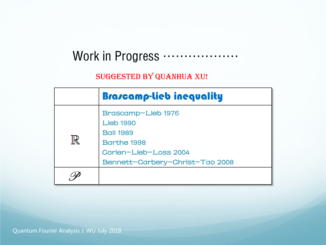# Work in Progress ………………

#### SUGGESTED BY QUANHUA XU!

|              | <b>Brascamp-lieb inequality</b>                                                                                                              |
|--------------|----------------------------------------------------------------------------------------------------------------------------------------------|
| $\mathbb{R}$ | Brascamp-Lieb 1976<br><b>Lieb 1990</b><br><b>Ball 1989</b><br><b>Barthe 1998</b><br>Carlen-Lieb-Loss 2004<br>Bennett-Carbery-Christ-Tao 2008 |
|              |                                                                                                                                              |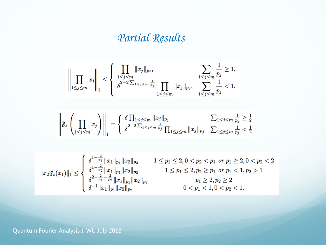# Partial Results

$$
\left\| \prod_{1 \leq j \leq m} x_j \right\|_1 \leq \left\{ \left. \frac{\prod_{1 \leq j \leq m} \|x_j\|_{p_j}, \sum_{1 \leq j \leq m} \frac{1}{p_j} \geq 1, \sum_{1 \leq j \leq m} \frac{1}{p_j} \geq 1, \sum_{1 \leq j \leq m} \frac{1}{p_j} \geq 1, \sum_{1 \leq j \leq m} \frac{1}{p_j} < 1. \right\}
$$

$$
\left\| \mathfrak{F}_{s} \left( \prod_{1 \leq j \leq m} x_{j} \right) \right\|_{1} = \left\{ \left. \frac{\delta \prod_{1 \leq j \leq m} \|x_{j}\|_{p_{j}}}{\delta^{2-2 \sum_{1 \leq j \leq m} \frac{1}{p_{j}}} \prod_{1 \leq j \leq m} \|x_{j}\|_{p_{j}} \right. \sum_{1 \leq j \leq m} \frac{1}{p_{j}} \geq \frac{1}{2} \right\}
$$

$$
\|x_2\mathfrak{F}_s(x_1)\|_1 \leq \left\{\begin{array}{ll} \delta^{1-\frac{2}{p_1}}\|x_1\|_{p_1}\|x_2\|_{p_2} & 1 \leq p_1 \leq 2, 0 < p_2 < p_1 \ \text{ or } p_1 \geq 2, 0 < p_2 < 2 \\ \delta^{1-\frac{2}{p_2}}\|x_1\|_{p_1}\|x_2\|_{p_2} & 1 \leq p_1 \leq 2, p_2 \geq p_1 \ \text{ or } p_1 < 1, p_2 > 1 \\ \delta^{2-\frac{2}{p_1}-\frac{2}{p_2}}\|x_1\|_{p_1}\|x_2\|_{p_2} & p_1 \geq 2, p_2 \geq 2 \\ \delta^{-1}\|x_1\|_{p_1}\|x_2\|_{p_2} & 0 < p_1 < 1, 0 < p_2 < 1. \end{array} \right.
$$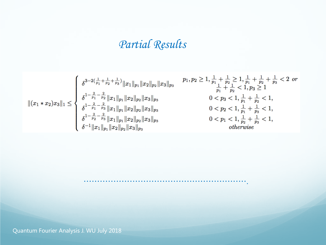# Partial Results

$$
\|(x_1 * x_2)x_3\|_1 \le \begin{cases} \delta^{3-2(\frac{1}{p_1} + \frac{1}{p_2} + \frac{1}{p_3})} \|x_1\|_{p_1} \|x_2\|_{p_2} \|x_3\|_{p_3} & p_1, p_2 \ge 1, \frac{1}{p_1} + \frac{1}{p_2} \ge 1, \frac{1}{p_1} + \frac{1}{p_2} + \frac{1}{p_3} < 2 \text{ or } \\ \delta^{1-\frac{2}{p_1}-\frac{2}{p_2}} \|x_1\|_{p_1} \|x_2\|_{p_2} \|x_3\|_{p_3} & 0 < p_3 < 1, \frac{1}{p_1} + \frac{1}{p_2} < 1, \\ \delta^{1-\frac{2}{p_1}-\frac{2}{p_3}} \|x_1\|_{p_1} \|x_2\|_{p_2} \|x_3\|_{p_3} & 0 < p_2 < 1, \frac{1}{p_1} + \frac{1}{p_3} < 1, \\ \delta^{1-\frac{2}{p_2}-\frac{2}{p_3}} \|x_1\|_{p_1} \|x_2\|_{p_2} \|x_3\|_{p_3} & 0 < p_1 < 1, \frac{1}{p_1} + \frac{1}{p_3} < 1, \\ \delta^{-1} \|x_1\|_{p_1} \|x_2\|_{p_2} \|x_3\|_{p_3} & 0 < p_1 < 1, \frac{1}{p_2} + \frac{1}{p_3} < 1, \\ \text{otherwise} & \end{cases}
$$

…………………………………………………….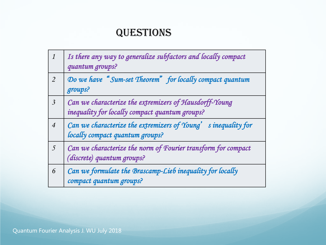### **QUESTIONS**

| $\boldsymbol{\mathcal{I}}$ | Is there any way to generalize subfactors and locally compact<br>quantum groups?                         |
|----------------------------|----------------------------------------------------------------------------------------------------------|
| $\overline{2}$             | Do we have "Sum-set Theorem" for locally compact quantum<br>groups?                                      |
| $\overline{\mathbf{3}}$    | Can we characterize the extremizers of Hausdorff-Young<br>inequality for locally compact quantum groups? |
| $\overline{4}$             | Can we characterize the extremizers of Young' sinequality for<br>locally compact quantum groups?         |
| $\sqrt{2}$                 | Can we characterize the norm of Fourier transform for compact<br>(discrete) quantum groups?              |
| 6                          | Can we formulate the Brascamp-Lieb inequality for locally<br>compact quantum groups?                     |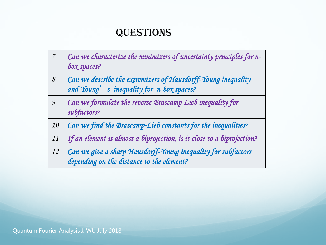### **QUESTIONS**

| $\overline{7}$ | Can we characterize the minimizers of uncertainty principles for n-<br>box spaces?                         |
|----------------|------------------------------------------------------------------------------------------------------------|
| 8              | Can we describe the extremizers of Hausdorff-Young inequality<br>and Young' s inequality for n-box spaces? |
| 9              | Can we formulate the reverse Brascamp-Lieb inequality for<br>subfactors?                                   |
| 10             | Can we find the Brascamp-Lieb constants for the inequalities?                                              |
| 11             | If an element is almost a biprojection, is it close to a biprojection?                                     |
| 12             | Can we give a sharp Hausdorff-Young inequality for subfactors<br>depending on the distance to the element? |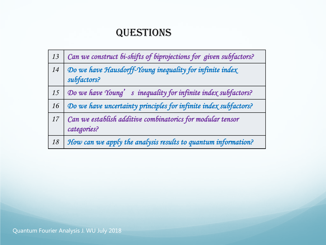### **QUESTIONS**

| 13 | Can we construct bi-shifts of biprojections for given subfactors?         |
|----|---------------------------------------------------------------------------|
| 14 | Do we have Hausdorff-Young inequality for infinite index<br>subfactors?   |
| 15 | Do we have Young' s inequality for infinite index subfactors?             |
| 16 | Do we have uncertainty principles for infinite index subfactors?          |
| 17 | Can we establish additive combinatorics for modular tensor<br>categories? |
| 18 | How can we apply the analysis results to quantum information?             |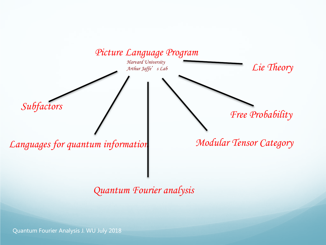

Quantum Fourier analysis